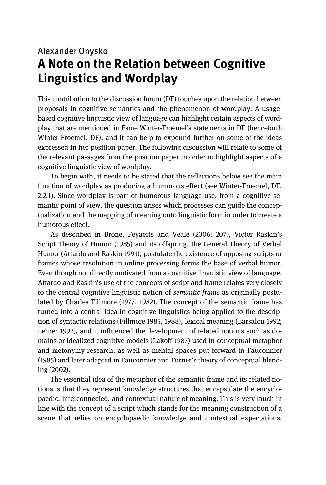## Alexander Onysko **A Note on the Relation between Cognitive Linguistics and Wordplay**

This contribution to the discussion forum (DF) touches upon the relation between proposals in cognitive semantics and the phenomenon of wordplay. A usagebased cognitive linguistic view of language can highlight certain aspects of wordplay that are mentioned in Esme Winter-Froemel's statements in DF (henceforth Winter-Froemel, DF), and it can help to expound further on some of the ideas expressed in her position paper. The following discussion will relate to some of the relevant passages from the position paper in order to highlight aspects of a cognitive linguistic view of wordplay.

 To begin with, it needs to be stated that the reflections below see the main function of wordplay as producing a humorous effect (see Winter-Froemel, DF, 2.2.1). Since wordplay is part of humorous language use, from a cognitive semantic point of view, the question arises which processes can guide the conceptualization and the mapping of meaning onto linguistic form in order to create a humorous effect.

As described in Brône, Feyaerts and Veale (2006: 207), Victor Raskin's Script Theory of Humor (1985) and its offspring, the General Theory of Verbal Humor (Attardo and Raskin 1991), postulate the existence of opposing scripts or frames whose resolution in online processing forms the base of verbal humor. Even though not directly motivated from a cognitive linguistic view of language, Attardo and Raskin's use of the concepts of script and frame relates very closely to the central cognitive linguistic notion of *semantic frame* as originally postulated by Charles Fillmore (1977, 1982). The concept of the semantic frame has turned into a central idea in cognitive linguistics being applied to the description of syntactic relations (Fillmore 1985, 1988), lexical meaning (Barsalou 1992; Lehrer 1992), and it influenced the development of related notions such as domains or idealized cognitive models (Lakoff 1987) used in conceptual metaphor and metonymy research, as well as mental spaces put forward in Fauconnier (1985) and later adapted in Fauconnier and Turner's theory of conceptual blending (2002).

The essential idea of the metaphor of the semantic frame and its related notions is that they represent knowledge structures that encapsulate the encyclopaedic, interconnected, and contextual nature of meaning. This is very much in line with the concept of a script which stands for the meaning construction of a scene that relies on encyclopaedic knowledge and contextual expectations.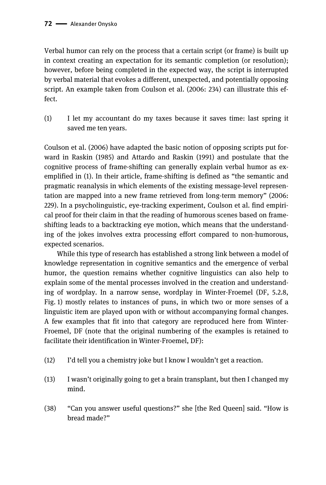Verbal humor can rely on the process that a certain script (or frame) is built up in context creating an expectation for its semantic completion (or resolution); however, before being completed in the expected way, the script is interrupted by verbal material that evokes a different, unexpected, and potentially opposing script. An example taken from Coulson et al. (2006: 234) can illustrate this effect.

(1) I let my accountant do my taxes because it saves time: last spring it saved me ten years.

Coulson et al. (2006) have adapted the basic notion of opposing scripts put forward in Raskin (1985) and Attardo and Raskin (1991) and postulate that the cognitive process of frame-shifting can generally explain verbal humor as exemplified in (1). In their article, frame-shifting is defined as "the semantic and pragmatic reanalysis in which elements of the existing message-level representation are mapped into a new frame retrieved from long-term memory" (2006: 229). In a psycholinguistic, eye-tracking experiment, Coulson et al. find empirical proof for their claim in that the reading of humorous scenes based on frameshifting leads to a backtracking eye motion, which means that the understanding of the jokes involves extra processing effort compared to non-humorous, expected scenarios.

 While this type of research has established a strong link between a model of knowledge representation in cognitive semantics and the emergence of verbal humor, the question remains whether cognitive linguistics can also help to explain some of the mental processes involved in the creation and understanding of wordplay. In a narrow sense, wordplay in Winter-Froemel (DF, 5.2.8, Fig. 1) mostly relates to instances of puns, in which two or more senses of a linguistic item are played upon with or without accompanying formal changes. A few examples that fit into that category are reproduced here from Winter-Froemel, DF (note that the original numbering of the examples is retained to facilitate their identification in Winter-Froemel, DF):

- (12) I'd tell you a chemistry joke but I know I wouldn't get a reaction.
- (13) I wasn't originally going to get a brain transplant, but then I changed my mind.
- (38) "Can you answer useful questions?" she [the Red Queen] said. "How is bread made?"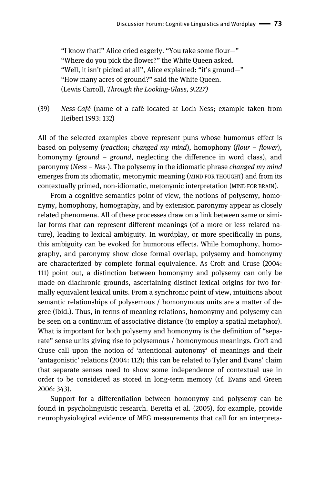"I know that!" Alice cried eagerly. "You take some flour—" "Where do you pick the flower?" the White Queen asked. "Well, it isn't picked at all", Alice explained: "it's ground—" "How many acres of ground?" said the White Queen. (Lewis Carroll, *Through the Looking-Glass, 9.227)* 

(39) *Ness-Café* (name of a café located at Loch Ness; example taken from Heibert 1993: 132)

All of the selected examples above represent puns whose humorous effect is based on polysemy (*reaction*; *changed my mind*), homophony (*flour* – *flower*), homonymy (*ground* – *ground*, neglecting the difference in word class), and paronymy (*Ness* – *Nes*-). The polysemy in the idiomatic phrase *changed my mind* emerges from its idiomatic, metonymic meaning (MIND FOR THOUGHT) and from its contextually primed, non-idiomatic, metonymic interpretation (MIND FOR BRAIN).

 From a cognitive semantics point of view, the notions of polysemy, homonymy, homophony, homography, and by extension paronymy appear as closely related phenomena. All of these processes draw on a link between same or similar forms that can represent different meanings (of a more or less related nature), leading to lexical ambiguity. In wordplay, or more specifically in puns, this ambiguity can be evoked for humorous effects. While homophony, homography, and paronymy show close formal overlap, polysemy and homonymy are characterized by complete formal equivalence. As Croft and Cruse (2004: 111) point out, a distinction between homonymy and polysemy can only be made on diachronic grounds, ascertaining distinct lexical origins for two formally equivalent lexical units. From a synchronic point of view, intuitions about semantic relationships of polysemous / homonymous units are a matter of degree (ibid.). Thus, in terms of meaning relations, homonymy and polysemy can be seen on a continuum of associative distance (to employ a spatial metaphor). What is important for both polysemy and homonymy is the definition of "separate" sense units giving rise to polysemous / homonymous meanings. Croft and Cruse call upon the notion of 'attentional autonomy' of meanings and their 'antagonistic' relations (2004: 112); this can be related to Tyler and Evans' claim that separate senses need to show some independence of contextual use in order to be considered as stored in long-term memory (cf. Evans and Green 2006: 343).

 Support for a differentiation between homonymy and polysemy can be found in psycholinguistic research. Beretta et al. (2005), for example, provide neurophysiological evidence of MEG measurements that call for an interpreta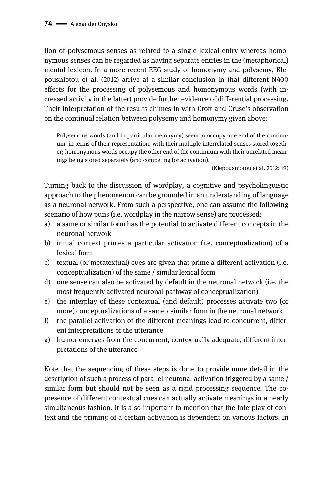tion of polysemous senses as related to a single lexical entry whereas homonymous senses can be regarded as having separate entries in the (metaphorical) mental lexicon. In a more recent EEG study of homonymy and polysemy, Klepousniotou et al. (2012) arrive at a similar conclusion in that different N400 effects for the processing of polysemous and homonymous words (with increased activity in the latter) provide further evidence of differential processing. Their interpretation of the results chimes in with Croft and Cruse's observation on the continual relation between polysemy and homonymy given above:

Polysemous words (and in particular metonymy) seem to occupy one end of the continuum, in terms of their representation, with their multiple interrelated senses stored together; homonymous words occupy the other end of the continuum with their unrelated meanings being stored separately (and competing for activation).

(Klepousniotou et al. 2012: 19)

Turning back to the discussion of wordplay, a cognitive and psycholinguistic approach to the phenomenon can be grounded in an understanding of language as a neuronal network. From such a perspective, one can assume the following scenario of how puns (i.e. wordplay in the narrow sense) are processed:

- a) a same or similar form has the potential to activate different concepts in the neuronal network
- b) initial context primes a particular activation (i.e. conceptualization) of a lexical form
- c) textual (or metatextual) cues are given that prime a different activation (i.e. conceptualization) of the same / similar lexical form
- d) one sense can also be activated by default in the neuronal network (i.e. the most frequently activated neuronal pathway of conceptualization)
- e) the interplay of these contextual (and default) processes activate two (or more) conceptualizations of a same / similar form in the neuronal network
- f) the parallel activation of the different meanings lead to concurrent, different interpretations of the utterance
- g) humor emerges from the concurrent, contextually adequate, different interpretations of the utterance

Note that the sequencing of these steps is done to provide more detail in the description of such a process of parallel neuronal activation triggered by a same / similar form but should not be seen as a rigid processing sequence. The copresence of different contextual cues can actually activate meanings in a nearly simultaneous fashion. It is also important to mention that the interplay of context and the priming of a certain activation is dependent on various factors. In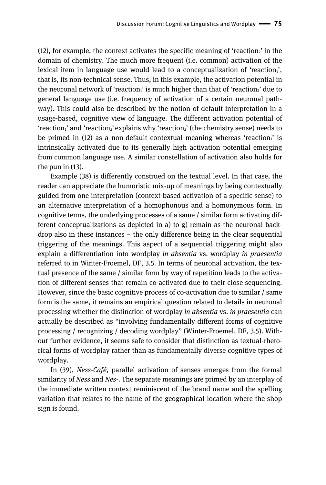(12), for example, the context activates the specific meaning of 'reaction<sub>2</sub>' in the domain of chemistry. The much more frequent (i.e. common) activation of the lexical item in language use would lead to a conceptualization of 'reaction<sub>1</sub>', that is, its non-technical sense. Thus, in this example, the activation potential in the neuronal network of 'reaction<sub>1</sub>' is much higher than that of 'reaction<sub>2</sub>' due to general language use (i.e. frequency of activation of a certain neuronal pathway). This could also be described by the notion of default interpretation in a usage-based, cognitive view of language. The different activation potential of 'reaction<sub>1</sub>' and 'reaction<sub>2</sub>' explains why 'reaction<sub>2</sub>' (the chemistry sense) needs to be primed in  $(12)$  as a non-default contextual meaning whereas 'reaction<sub>1</sub>' is intrinsically activated due to its generally high activation potential emerging from common language use. A similar constellation of activation also holds for the pun in (13).

 Example (38) is differently construed on the textual level. In that case, the reader can appreciate the humoristic mix-up of meanings by being contextually guided from one interpretation (context-based activation of a specific sense) to an alternative interpretation of a homophonous and a homonymous form. In cognitive terms, the underlying processes of a same / similar form activating different conceptualizations as depicted in a) to g) remain as the neuronal backdrop also in these instances – the only difference being in the clear sequential triggering of the meanings. This aspect of a sequential triggering might also explain a differentiation into wordplay *in absentia* vs. wordplay *in praesentia* referred to in Winter-Froemel, DF, 3.5. In terms of neuronal activation, the textual presence of the same / similar form by way of repetition leads to the activation of different senses that remain co-activated due to their close sequencing. However, since the basic cognitive process of co-activation due to similar / same form is the same, it remains an empirical question related to details in neuronal processing whether the distinction of wordplay *in absentia* vs. *in praesentia* can actually be described as "involving fundamentally different forms of cognitive processing / recognizing / decoding wordplay" (Winter-Froemel, DF, 3.5). Without further evidence, it seems safe to consider that distinction as textual-rhetorical forms of wordplay rather than as fundamentally diverse cognitive types of wordplay.

 In (39), *Ness-Café*, parallel activation of senses emerges from the formal similarity of *Ness* and *Nes*-. The separate meanings are primed by an interplay of the immediate written context reminiscent of the brand name and the spelling variation that relates to the name of the geographical location where the shop sign is found.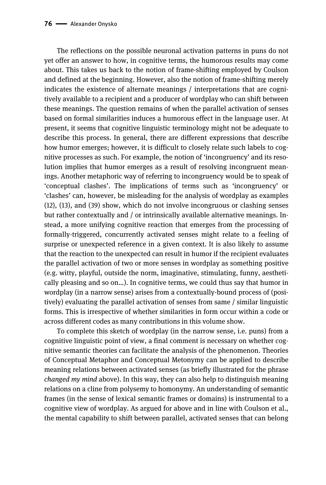The reflections on the possible neuronal activation patterns in puns do not yet offer an answer to how, in cognitive terms, the humorous results may come about. This takes us back to the notion of frame-shifting employed by Coulson and defined at the beginning. However, also the notion of frame-shifting merely indicates the existence of alternate meanings / interpretations that are cognitively available to a recipient and a producer of wordplay who can shift between these meanings. The question remains of when the parallel activation of senses based on formal similarities induces a humorous effect in the language user. At present, it seems that cognitive linguistic terminology might not be adequate to describe this process. In general, there are different expressions that describe how humor emerges; however, it is difficult to closely relate such labels to cognitive processes as such. For example, the notion of 'incongruency' and its resolution implies that humor emerges as a result of resolving incongruent meanings. Another metaphoric way of referring to incongruency would be to speak of 'conceptual clashes'. The implications of terms such as 'incongruency' or 'clashes' can, however, be misleading for the analysis of wordplay as examples (12), (13), and (39) show, which do not involve incongruous or clashing senses but rather contextually and / or intrinsically available alternative meanings. Instead, a more unifying cognitive reaction that emerges from the processing of formally-triggered, concurrently activated senses might relate to a feeling of surprise or unexpected reference in a given context. It is also likely to assume that the reaction to the unexpected can result in humor if the recipient evaluates the parallel activation of two or more senses in wordplay as something positive (e.g. witty, playful, outside the norm, imaginative, stimulating, funny, aesthetically pleasing and so on…). In cognitive terms, we could thus say that humor in wordplay (in a narrow sense) arises from a contextually-bound process of (positively) evaluating the parallel activation of senses from same / similar linguistic forms. This is irrespective of whether similarities in form occur within a code or across different codes as many contributions in this volume show.

 To complete this sketch of wordplay (in the narrow sense, i.e. puns) from a cognitive linguistic point of view, a final comment is necessary on whether cognitive semantic theories can facilitate the analysis of the phenomenon. Theories of Conceptual Metaphor and Conceptual Metonymy can be applied to describe meaning relations between activated senses (as briefly illustrated for the phrase *changed my mind* above). In this way, they can also help to distinguish meaning relations on a cline from polysemy to homonymy. An understanding of semantic frames (in the sense of lexical semantic frames or domains) is instrumental to a cognitive view of wordplay. As argued for above and in line with Coulson et al., the mental capability to shift between parallel, activated senses that can belong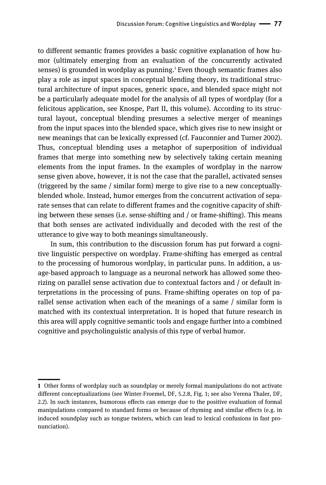to different semantic frames provides a basic cognitive explanation of how humor (ultimately emerging from an evaluation of the concurrently activated senses) is grounded in wordplay as punning.<sup>1</sup> Even though semantic frames also play a role as input spaces in conceptual blending theory, its traditional structural architecture of input spaces, generic space, and blended space might not be a particularly adequate model for the analysis of all types of wordplay (for a felicitous application, see Knospe, Part II, this volume). According to its structural layout, conceptual blending presumes a selective merger of meanings from the input spaces into the blended space, which gives rise to new insight or new meanings that can be lexically expressed (cf. Fauconnier and Turner 2002). Thus, conceptual blending uses a metaphor of superposition of individual frames that merge into something new by selectively taking certain meaning elements from the input frames. In the examples of wordplay in the narrow sense given above, however, it is not the case that the parallel, activated senses (triggered by the same / similar form) merge to give rise to a new conceptuallyblended whole. Instead, humor emerges from the concurrent activation of separate senses that can relate to different frames and the cognitive capacity of shifting between these senses (i.e. sense-shifting and / or frame-shifting). This means that both senses are activated individually and decoded with the rest of the utterance to give way to both meanings simultaneously.

 In sum, this contribution to the discussion forum has put forward a cognitive linguistic perspective on wordplay. Frame-shifting has emerged as central to the processing of humorous wordplay, in particular puns. In addition, a usage-based approach to language as a neuronal network has allowed some theorizing on parallel sense activation due to contextual factors and / or default interpretations in the processing of puns. Frame-shifting operates on top of parallel sense activation when each of the meanings of a same / similar form is matched with its contextual interpretation. It is hoped that future research in this area will apply cognitive semantic tools and engage further into a combined cognitive and psycholinguistic analysis of this type of verbal humor.

<sup>||</sup>  **1** Other forms of wordplay such as soundplay or merely formal manipulations do not activate different conceptualizations (see Winter-Froemel, DF, 5.2.8, Fig. 1; see also Verena Thaler, DF, 2.2). In such instances, humorous effects can emerge due to the positive evaluation of formal manipulations compared to standard forms or because of rhyming and similar effects (e.g. in induced soundplay such as tongue twisters, which can lead to lexical confusions in fast pronunciation).